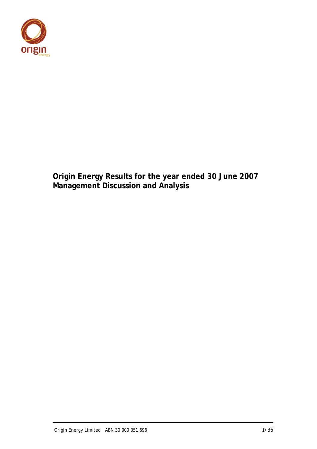

**Origin Energy Results for the year ended 30 June 2007 Management Discussion and Analysis**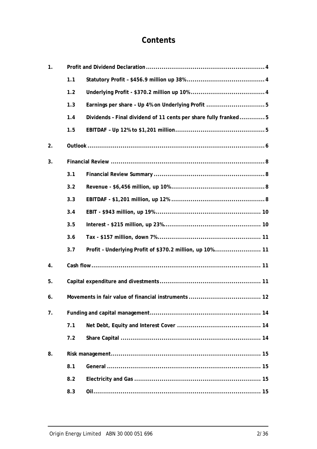# **Contents**

| 1. |     |                                                                 |  |  |  |  |  |
|----|-----|-----------------------------------------------------------------|--|--|--|--|--|
|    | 1.1 |                                                                 |  |  |  |  |  |
|    | 1.2 |                                                                 |  |  |  |  |  |
|    | 1.3 |                                                                 |  |  |  |  |  |
|    | 1.4 | Dividends - Final dividend of 11 cents per share fully franked5 |  |  |  |  |  |
|    | 1.5 |                                                                 |  |  |  |  |  |
| 2. |     |                                                                 |  |  |  |  |  |
| 3. |     |                                                                 |  |  |  |  |  |
|    | 3.1 |                                                                 |  |  |  |  |  |
|    | 3.2 |                                                                 |  |  |  |  |  |
|    | 3.3 |                                                                 |  |  |  |  |  |
|    | 3.4 |                                                                 |  |  |  |  |  |
|    | 3.5 |                                                                 |  |  |  |  |  |
|    | 3.6 |                                                                 |  |  |  |  |  |
|    | 3.7 | Profit - Underlying Profit of \$370.2 million, up 10% 11        |  |  |  |  |  |
| 4. |     |                                                                 |  |  |  |  |  |
| 5. |     |                                                                 |  |  |  |  |  |
| 6. |     |                                                                 |  |  |  |  |  |
| 7. |     |                                                                 |  |  |  |  |  |
|    | 7.1 |                                                                 |  |  |  |  |  |
|    | 7.2 |                                                                 |  |  |  |  |  |
| 8. |     |                                                                 |  |  |  |  |  |
|    | 8.1 |                                                                 |  |  |  |  |  |
|    | 8.2 |                                                                 |  |  |  |  |  |
|    | 8.3 |                                                                 |  |  |  |  |  |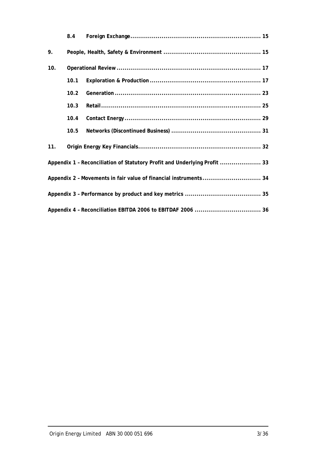|     | 8.4  |                                                                           |  |
|-----|------|---------------------------------------------------------------------------|--|
| 9.  |      |                                                                           |  |
| 10. |      |                                                                           |  |
|     | 10.1 |                                                                           |  |
|     | 10.2 |                                                                           |  |
|     | 10.3 |                                                                           |  |
|     | 10.4 |                                                                           |  |
|     | 10.5 |                                                                           |  |
| 11. |      |                                                                           |  |
|     |      | Appendix 1 - Reconciliation of Statutory Profit and Underlying Profit  33 |  |
|     |      | Appendix 2 - Movements in fair value of financial instruments 34          |  |
|     |      |                                                                           |  |
|     |      |                                                                           |  |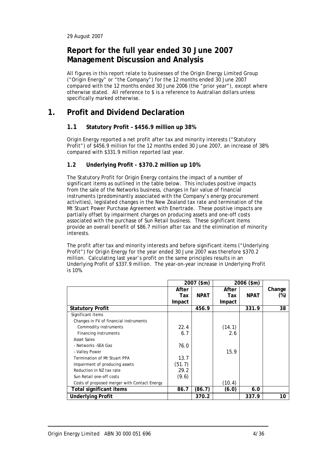## **Report for the full year ended 30 June 2007 Management Discussion and Analysis**

All figures in this report relate to businesses of the Origin Energy Limited Group ("Origin Energy" or "the Company") for the 12 months ended 30 June 2007 compared with the 12 months ended 30 June 2006 (the "prior year"), except where otherwise stated. All reference to \$ is a reference to Australian dollars unless specifically marked otherwise.

## **1. Profit and Dividend Declaration**

## **1.1 Statutory Profit – \$456.9 million up 38%**

Origin Energy reported a net profit after tax and minority interests ("Statutory Profit") of \$456.9 million for the 12 months ended 30 June 2007, an increase of 38% compared with \$331.9 million reported last year.

## **1.2 Underlying Profit - \$370.2 million up 10%**

The Statutory Profit for Origin Energy contains the impact of a number of significant items as outlined in the table below. This includes positive impacts from the sale of the Networks business, changes in fair value of financial instruments (predominantly associated with the Company's energy procurement activities), legislated changes in the New Zealand tax rate and termination of the Mt Stuart Power Purchase Agreement with Enertrade. These positive impacts are partially offset by impairment charges on producing assets and one-off costs associated with the purchase of Sun Retail business. These significant items provide an overall benefit of \$86.7 million after tax and the elimination of minority interests.

The profit after tax and minority interests and before significant items ("Underlying Profit") for Origin Energy for the year ended 30 June 2007 was therefore \$370.2 million. Calculating last year's profit on the same principles results in an Underlying Profit of \$337.9 million. The year-on-year increase in Underlying Profit is 10%.

|                                              |        | 2007 (\$m)  | 2006 (\$m) |             |        |
|----------------------------------------------|--------|-------------|------------|-------------|--------|
|                                              | After  |             | After      |             | Change |
|                                              | Tax    | <b>NPAT</b> | Tax        | <b>NPAT</b> | $(\%)$ |
|                                              | Impact |             | Impact     |             |        |
| <b>Statutory Profit</b>                      |        | 456.9       |            | 331.9       | 38     |
| Significant items                            |        |             |            |             |        |
| Changes in FV of financial instruments       |        |             |            |             |        |
| Commodity instruments                        | 22.4   |             | (14.1)     |             |        |
| Financing instruments                        | 6.7    |             | 2.6        |             |        |
| Asset Sales                                  |        |             |            |             |        |
| - Networks -SEA Gas                          | 76.0   |             |            |             |        |
| - Valley Power                               |        |             | 15.9       |             |        |
| Termination of Mt Stuart PPA                 | 13.7   |             |            |             |        |
| Impairment of producing assets               | (51.7) |             |            |             |        |
| Reduction in NZ tax rate                     | 29.2   |             |            |             |        |
| Sun Retail one-off costs                     | (9.6)  |             |            |             |        |
| Costs of proposed merger with Contact Energy |        |             | (10.4)     |             |        |
| Total significant items                      | 86.7   | (86.7)      | (6.0)      | 6.0         |        |
| <b>Underlying Profit</b>                     |        | 370.2       |            | 337.9       | 10     |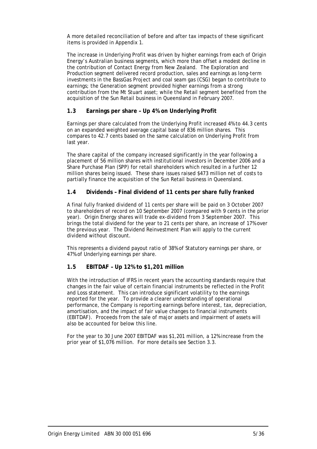A more detailed reconciliation of before and after tax impacts of these significant items is provided in Appendix 1.

The increase in Underlying Profit was driven by higher earnings from each of Origin Energy's Australian business segments, which more than offset a modest decline in the contribution of Contact Energy from New Zealand. The Exploration and Production segment delivered record production, sales and earnings as long-term investments in the BassGas Project and coal seam gas (CSG) began to contribute to earnings; the Generation segment provided higher earnings from a strong contribution from the Mt Stuart asset; while the Retail segment benefited from the acquisition of the Sun Retail business in Queensland in February 2007.

## **1.3 Earnings per share – Up 4% on Underlying Profit**

Earnings per share calculated from the Underlying Profit increased 4% to 44.3 cents on an expanded weighted average capital base of 836 million shares. This compares to 42.7 cents based on the same calculation on Underlying Profit from last year.

The share capital of the company increased significantly in the year following a placement of 56 million shares with institutional investors in December 2006 and a Share Purchase Plan (SPP) for retail shareholders which resulted in a further 12 million shares being issued. These share issues raised \$473 million net of costs to partially finance the acquisition of the Sun Retail business in Queensland.

## **1.4 Dividends – Final dividend of 11 cents per share fully franked**

A final fully franked dividend of 11 cents per share will be paid on 3 October 2007 to shareholders of record on 10 September 2007 (compared with 9 cents in the prior year). Origin Energy shares will trade ex-dividend from 3 September 2007. This brings the total dividend for the year to 21 cents per share, an increase of 17% over the previous year. The Dividend Reinvestment Plan will apply to the current dividend without discount.

This represents a dividend payout ratio of 38% of Statutory earnings per share, or 47% of Underlying earnings per share.

## **1.5 EBITDAF – Up 12% to \$1,201 million**

With the introduction of IFRS in recent years the accounting standards require that changes in the fair value of certain financial instruments be reflected in the Profit and Loss statement. This can introduce significant volatility to the earnings reported for the year. To provide a clearer understanding of operational performance, the Company is reporting earnings before interest, tax, depreciation, amortisation, and the impact of fair value changes to financial instruments (EBITDAF). Proceeds from the sale of major assets and impairment of assets will also be accounted for below this line.

For the year to 30 June 2007 EBITDAF was \$1,201 million, a 12% increase from the prior year of \$1,076 million. For more details see Section 3.3.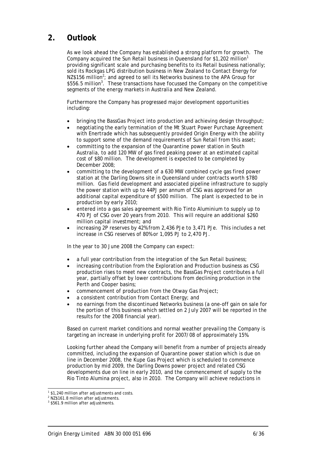## **2. Outlook**

As we look ahead the Company has established a strong platform for growth. The Company acquired the Sun Retail business in Queensland for \$1,202 million<sup>1</sup> providing significant scale and purchasing benefits to its Retail business nationally; sold its Rockgas LPG distribution business in New Zealand to Contact Energy for NZ\$156 million<sup>2</sup>; and agreed to sell its Networks business to the APA Group for \$556.5 million<sup>3</sup>. These transactions have focussed the Company on the competitive segments of the energy markets in Australia and New Zealand.

Furthermore the Company has progressed major development opportunities including:

- bringing the BassGas Project into production and achieving design throughput;
- negotiating the early termination of the Mt Stuart Power Purchase Agreement with Enertrade which has subsequently provided Origin Energy with the ability to support some of the demand requirements of Sun Retail from this asset;
- committing to the expansion of the Quarantine power station in South Australia, to add 120 MW of gas fired peaking power at an estimated capital cost of \$80 million. The development is expected to be completed by December 2008;
- committing to the development of a 630 MW combined cycle gas fired power station at the Darling Downs site in Queensland under contracts worth \$780 million. Gas field development and associated pipeline infrastructure to supply the power station with up to 44PJ per annum of CSG was approved for an additional capital expenditure of \$500 million. The plant is expected to be in production by early 2010;
- entered into a gas sales agreement with Rio Tinto Aluminium to supply up to 470 PJ of CSG over 20 years from 2010. This will require an additional \$260 million capital investment; and
- increasing 2P reserves by 42% from 2,436 PJe to 3,471 PJe. This includes a net increase in CSG reserves of 80% or 1,095 PJ to 2,470 PJ.

In the year to 30 June 2008 the Company can expect:

- a full year contribution from the integration of the Sun Retail business;
- increasing contribution from the Exploration and Production business as CSG production rises to meet new contracts, the BassGas Project contributes a full year, partially offset by lower contributions from declining production in the Perth and Cooper basins;
- commencement of production from the Otway Gas Project;
- a consistent contribution from Contact Energy; and
- no earnings from the discontinued Networks business (a one-off gain on sale for the portion of this business which settled on 2 July 2007 will be reported in the results for the 2008 financial year).

Based on current market conditions and normal weather prevailing the Company is targeting an increase in underlying profit for 2007/08 of approximately 15%.

Looking further ahead the Company will benefit from a number of projects already committed, including the expansion of Quarantine power station which is due on line in December 2008, the Kupe Gas Project which is scheduled to commence production by mid 2009, the Darling Downs power project and related CSG developments due on line in early 2010, and the commencement of supply to the Rio Tinto Alumina project, also in 2010. The Company will achieve reductions in

<sup>1</sup> <sup>1</sup> \$1,240 million after adjustments and costs.

<sup>2</sup> NZ\$161.8 million after adjustments.

<sup>&</sup>lt;sup>3</sup> \$561.9 million after adjustments.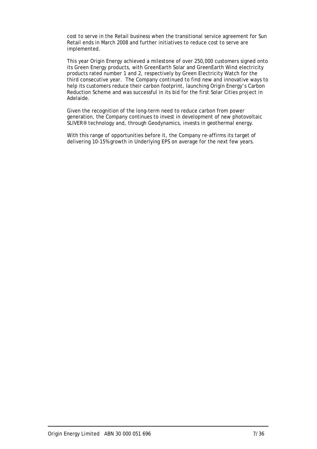cost to serve in the Retail business when the transitional service agreement for Sun Retail ends in March 2008 and further initiatives to reduce cost to serve are implemented.

This year Origin Energy achieved a milestone of over 250,000 customers signed onto its Green Energy products, with GreenEarth Solar and GreenEarth Wind electricity products rated number 1 and 2, respectively by Green Electricity Watch for the third consecutive year. The Company continued to find new and innovative ways to help its customers reduce their carbon footprint, launching Origin Energy's Carbon Reduction Scheme and was successful in its bid for the first Solar Cities project in Adelaide.

Given the recognition of the long-term need to reduce carbon from power generation, the Company continues to invest in development of new photovoltaic SLIVER® technology and, through Geodynamics, invests in geothermal energy.

With this range of opportunities before it, the Company re-affirms its target of delivering 10-15% growth in Underlying EPS on average for the next few years.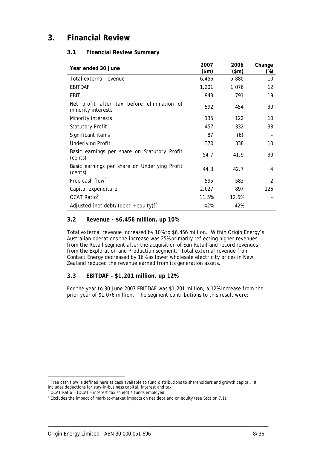## **3. Financial Review**

## **3.1 Financial Review Summary**

| Year ended 30 June                                               | 2007<br>\$m\$ | 2006<br>\$m\$ | Change<br>(%)  |
|------------------------------------------------------------------|---------------|---------------|----------------|
| Total external revenue                                           | 6,456         | 5,880         | 10             |
| <b>EBITDAF</b>                                                   | 1,201         | 1,076         | 12             |
| EBIT                                                             | 943           | 791           | 19             |
| Net profit after tax before elimination of<br>minority interests | 592           | 454           | 30             |
| Minority interests                                               | 135           | 122           | 10             |
| <b>Statutory Profit</b>                                          | 457           | 332           | 38             |
| Significant items                                                | 87            | (6)           |                |
| <b>Underlying Profit</b>                                         | 370           | 338           | 10             |
| Basic earnings per share on Statutory Profit<br>(cents)          | 54.7          | 41.9          | 30             |
| Basic earnings per share on Underlying Profit<br>(cents)         | 44.3          | 42.7          | 4              |
| Free cash flow <sup>4</sup>                                      | 595           | 583           | $\overline{2}$ |
| Capital expenditure                                              | 2,027         | 897           | 126            |
| OCAT Ratio <sup>5</sup>                                          | 11.5%         | 12.5%         |                |
| Adjusted [net debt/(debt + equity)] <sup>6</sup>                 | 42%           | 42%           |                |

## **3.2 Revenue - \$6,456 million, up 10%**

Total external revenue increased by 10% to \$6,456 million. Within Origin Energy's Australian operations the increase was 25% primarily reflecting higher revenues from the Retail segment after the acquisition of Sun Retail and record revenues from the Exploration and Production segment. Total external revenue from Contact Energy decreased by 16% as lower wholesale electricity prices in New Zealand reduced the revenue earned from its generation assets.

## **3.3 EBITDAF - \$1,201 million, up 12%**

For the year to 30 June 2007 EBITDAF was \$1,201 million, a 12% increase from the prior year of \$1,076 million*.* The segment contributions to this result were:

-

<sup>&</sup>lt;sup>4</sup> Free cash flow is defined here as cash available to fund distributions to shareholders and growth capital. It includes deductions for stay-in-business capital, interest and tax.

 $5$  OCAT Ratio = (OCAT - interest tax shield) / funds employed.

Excludes the impact of mark-to-market impacts on net debt and on equity (see Section 7.1).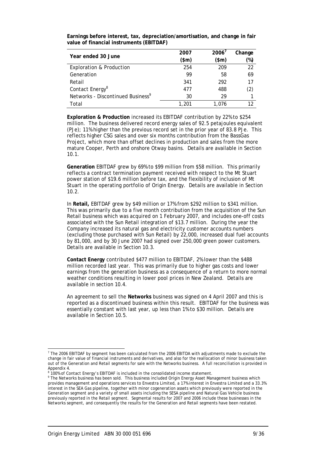**Earnings before interest, tax, depreciation/amortisation, and change in fair value of financial instruments (EBITDAF)** 

| Year ended 30 June                            | 2007  | $2006^7$ | Change |
|-----------------------------------------------|-------|----------|--------|
|                                               | (\$m) | \$m\$    | (%)    |
| <b>Exploration &amp; Production</b>           | 254   | 209      | 22     |
| Generation                                    | 99    | 58       | 69     |
| Retail                                        | 341   | 292      | 17     |
| Contact Energy <sup>8</sup>                   | 477   | 488      | (2)    |
| Networks - Discontinued Business <sup>9</sup> | 30    | 29       |        |
| Total                                         | 1.201 | 1.076    |        |

**Exploration & Production** increased its EBITDAF contribution by 22% to \$254 million. The business delivered record energy sales of 92.5 petajoules equivalent (PJe); 11% higher than the previous record set in the prior year of 83.8 PJe. This reflects higher CSG sales and over six months contribution from the BassGas Project, which more than offset declines in production and sales from the more mature Cooper, Perth and onshore Otway basins. Details are available in Section 10.1.

**Generation** EBITDAF grew by 69% to \$99 million from \$58 million. This primarily reflects a contract termination payment received with respect to the Mt Stuart power station of \$19.6 million before tax, and the flexibility of inclusion of Mt Stuart in the operating portfolio of Origin Energy. Details are available in Section 10.2.

In **Retail,** EBITDAF grew by \$49 million or 17% from \$292 million to \$341 million. This was primarily due to a five month contribution from the acquisition of the Sun Retail business which was acquired on 1 February 2007, and includes one-off costs associated with the Sun Retail integration of \$13.7 million. During the year the Company increased its natural gas and electricity customer accounts numbers (excluding those purchased with Sun Retail) by 22,000, increased dual fuel accounts by 81,000, and by 30 June 2007 had signed over 250,000 green power customers. Details are available in Section 10.3.

**Contact Energy** contributed \$477 million to EBITDAF, 2% lower than the \$488 million recorded last year. This was primarily due to higher gas costs and lower earnings from the generation business as a consequence of a return to more normal weather conditions resulting in lower pool prices in New Zealand. Details are available in section 10.4.

An agreement to sell the **Networks** business was signed on 4 April 2007 and this is reported as a discontinued business within this result. EBITDAF for the business was essentially constant with last year, up less than 1% to \$30 million. Details are available in Section 10.5.

 7 The 2006 EBITDAF by segment has been calculated from the 2006 EBITDA with adjustments made to exclude the change in fair value of financial instruments and derivatives, and also for the reallocation of minor business taken out of the Generation and Retail segments for sale with the Networks business. A full reconciliation is provided in Appendix 4.

<sup>8</sup> 100% of Contact Energy's EBITDAF is included in the consolidated income statement. 9

The Networks business has been sold. This business included Origin Energy Asset Management business which provides management and operations services to Envestra Limited, a 17% interest in Envestra Limited and a 33.3% interest in the SEA Gas pipeline, together with minor cogeneration assets which previously were reported in the Generation segment and a variety of small assets including the SESA pipeline and Natural Gas Vehicle business previously reported in the Retail segment. Segmental results for 2007 and 2006 include these businesses in the Networks segment, and consequently the results for the Generation and Retail segments have been restated.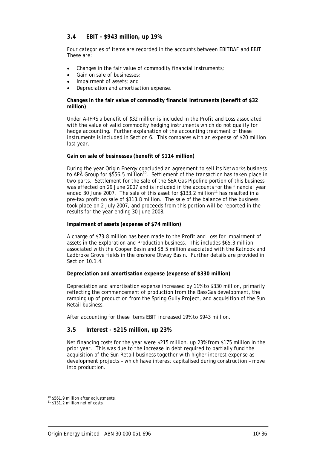## **3.4 EBIT - \$943 million, up 19%**

Four categories of items are recorded in the accounts between EBITDAF and EBIT. These are:

- Changes in the fair value of commodity financial instruments;
- Gain on sale of businesses:
- Impairment of assets; and
- Depreciation and amortisation expense.

#### **Changes in the fair value of commodity financial instruments (benefit of \$32 million)**

Under A-IFRS a benefit of \$32 million is included in the Profit and Loss associated with the value of valid commodity hedging instruments which do not qualify for hedge accounting. Further explanation of the accounting treatment of these instruments is included in Section 6. This compares with an expense of \$20 million last year.

#### **Gain on sale of businesses (benefit of \$114 million)**

During the year Origin Energy concluded an agreement to sell its Networks business to APA Group for \$556.5 million<sup>10</sup>. Settlement of the transaction has taken place in two parts. Settlement for the sale of the SEA Gas Pipeline portion of this business was effected on 29 June 2007 and is included in the accounts for the financial year ended 30 June 2007. The sale of this asset for \$133.2 million<sup>11</sup> has resulted in a pre-tax profit on sale of \$113.8 million. The sale of the balance of the business took place on 2 July 2007, and proceeds from this portion will be reported in the results for the year ending 30 June 2008.

#### **Impairment of assets (expense of \$74 million)**

A charge of \$73.8 million has been made to the Profit and Loss for impairment of assets in the Exploration and Production business. This includes \$65.3 million associated with the Cooper Basin and \$8.5 million associated with the Katnook and Ladbroke Grove fields in the onshore Otway Basin. Further details are provided in Section 10.1.4

#### **Depreciation and amortisation expense (expense of \$330 million)**

Depreciation and amortisation expense increased by 11% to \$330 million, primarily reflecting the commencement of production from the BassGas development, the ramping up of production from the Spring Gully Project, and acquisition of the Sun Retail business.

After accounting for these items EBIT increased 19% to \$943 million.

#### **3.5 Interest - \$215 million, up 23%**

Net financing costs for the year were \$215 million, up 23% from \$175 million in the prior year. This was due to the increase in debt required to partially fund the acquisition of the Sun Retail business together with higher interest expense as development projects – which have interest capitalised during construction – move into production.

1

<sup>&</sup>lt;sup>10</sup> \$561.9 million after adjustments.

<sup>11 \$131.2</sup> million net of costs.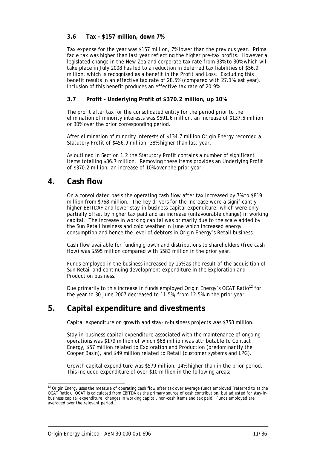## **3.6 Tax - \$157 million, down 7%**

Tax expense for the year was \$157 million, 7% lower than the previous year. Prima facie tax was higher than last year reflecting the higher pre-tax profits. However a legislated change in the New Zealand corporate tax rate from 33% to 30% which will take place in July 2008 has led to a reduction in deferred tax liabilities of \$56.9 million, which is recognised as a benefit in the Profit and Loss. Excluding this benefit results in an effective tax rate of 28.5% (compared with 27.1% last year). Inclusion of this benefit produces an effective tax rate of 20.9%.

## **3.7 Profit – Underlying Profit of \$370.2 million, up 10%**

The profit after tax for the consolidated entity for the period prior to the elimination of minority interests was \$591.6 million, an increase of \$137.5 million or 30% over the prior corresponding period.

After elimination of minority interests of \$134.7 million Origin Energy recorded a Statutory Profit of \$456.9 million, 38% higher than last year.

As outlined in Section 1.2 the Statutory Profit contains a number of significant items totalling \$86.7 million. Removing these items provides an Underlying Profit of \$370.2 million, an increase of 10% over the prior year.

## **4. Cash flow**

On a consolidated basis the operating cash flow after tax increased by 7% to \$819 million from \$768 million. The key drivers for the increase were a significantly higher EBITDAF and lower stay-in-business capital expenditure, which were only partially offset by higher tax paid and an increase (unfavourable change) in working capital. The increase in working capital was primarily due to the scale added by the Sun Retail business and cold weather in June which increased energy consumption and hence the level of debtors in Origin Energy's Retail business.

Cash flow available for funding growth and distributions to shareholders (free cash flow) was \$595 million compared with \$583 million in the prior year.

Funds employed in the business increased by 15% as the result of the acquisition of Sun Retail and continuing development expenditure in the Exploration and Production business.

Due primarily to this increase in funds employed Origin Energy's OCAT Ratio<sup>12</sup> for the year to 30 June 2007 decreased to 11.5%, from 12.5% in the prior year.

## **5. Capital expenditure and divestments**

Capital expenditure on growth and stay-in-business projects was \$758 million.

Stay-in-business capital expenditure associated with the maintenance of ongoing operations was \$179 million of which \$68 million was attributable to Contact Energy, \$57 million related to Exploration and Production (predominantly the Cooper Basin), and \$49 million related to Retail (customer systems and LPG).

Growth capital expenditure was \$579 million, 14% higher than in the prior period. This included expenditure of over \$10 million in the following areas:

-

 $12$  Origin Energy uses the measure of operating cash flow after tax over average funds employed (referred to as the OCAT Ratio). OCAT is calculated from EBITDA as the primary source of cash contribution, but adjusted for stay-inbusiness capital expenditure, changes in working capital, non-cash items and tax paid. Funds employed are averaged over the relevant period.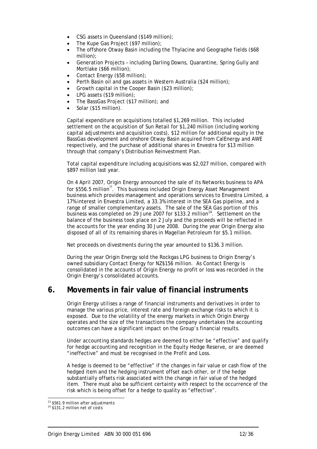- CSG assets in Queensland (\$149 million);
- The Kupe Gas Project (\$97 million);
- The offshore Otway Basin including the Thylacine and Geographe fields (\$68 million);
- Generation Projects including Darling Downs, Quarantine, Spring Gully and Mortlake (\$66 million);
- Contact Energy (\$58 million);
- Perth Basin oil and gas assets in Western Australia (\$24 million);
- Growth capital in the Cooper Basin (\$23 million);
- LPG assets (\$19 million);
- The BassGas Project (\$17 million); and
- Solar (\$15 million).

Capital expenditure on acquisitions totalled \$1,269 million. This included settlement on the acquisition of Sun Retail for \$1,240 million (including working capital adjustments and acquisition costs), \$12 million for additional equity in the BassGas development and onshore Otway Basin acquired from CalEnergy and AWE respectively, and the purchase of additional shares in Envestra for \$13 million through that company's Distribution Reinvestment Plan.

Total capital expenditure including acquisitions was \$2,027 million, compared with \$897 million last year.

On 4 April 2007, Origin Energy announced the sale of its Networks business to APA for \$556.5 million<sup>13</sup>. This business included Origin Energy Asset Management business which provides management and operations services to Envestra Limited, a 17% interest in Envestra Limited, a 33.3% interest in the SEA Gas pipeline, and a range of smaller complementary assets. The sale of the SEA Gas portion of this business was completed on 29 June 2007 for \$133.2 million<sup>14</sup>. Settlement on the balance of the business took place on 2 July and the proceeds will be reflected in the accounts for the year ending 30 June 2008. During the year Origin Energy also disposed of all of its remaining shares in Magellan Petroleum for \$5.1 million.

Net proceeds on divestments during the year amounted to \$136.3 million.

During the year Origin Energy sold the Rockgas LPG business to Origin Energy's owned subsidiary Contact Energy for NZ\$156 million. As Contact Energy is consolidated in the accounts of Origin Energy no profit or loss was recorded in the Origin Energy's consolidated accounts.

## **6. Movements in fair value of financial instruments**

Origin Energy utilises a range of financial instruments and derivatives in order to manage the various price, interest rate and foreign exchange risks to which it is exposed. Due to the volatility of the energy markets in which Origin Energy operates and the size of the transactions the company undertakes the accounting outcomes can have a significant impact on the Group's financial results.

Under accounting standards hedges are deemed to either be "effective" and qualify for hedge accounting and recognition in the Equity Hedge Reserve, or are deemed "ineffective" and must be recognised in the Profit and Loss.

A hedge is deemed to be "effective" if the changes in fair value or cash flow of the hedged item and the hedging instrument offset each other, or if the hedge substantially offsets risk associated with the change in fair value of the hedged item. There must also be sufficient certainty with respect to the occurrence of the risk which is being offset for a hedge to quality as "effective".

l <sup>13</sup> \$561.9 million after adjustments

<sup>14 \$131.2</sup> million net of costs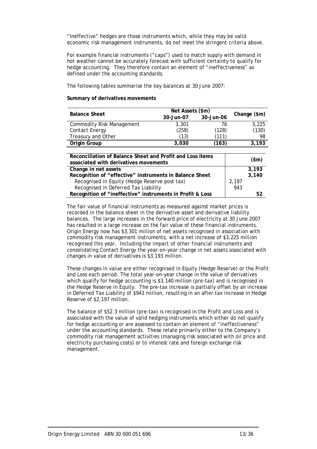"Ineffective" hedges are those instruments which, while they may be valid economic risk management instruments, do not meet the stringent criteria above.

For example financial instruments ("caps") used to match supply with demand in hot weather cannot be accurately forecast with sufficient certainty to qualify for hedge accounting. They therefore contain an element of "ineffectiveness" as defined under the accounting standards.

The following tables summarise the key balances at 30 June 2007:

#### **Summary of derivatives movements**

| <b>Balance Sheet</b>                                      | Net Assets (\$m) |           |                |       |
|-----------------------------------------------------------|------------------|-----------|----------------|-------|
|                                                           | 30-Jun-07        | 30-Jun-06 | Change $(\$m)$ |       |
| <b>Commodity Risk Management</b>                          | 3,301            | 76        |                | 3,225 |
| <b>Contact Energy</b>                                     | (258)            | (128)     |                | (130) |
| Treasury and Other                                        | (13)             | (111)     |                | 98    |
| Origin Group                                              | 3,030            | (163)     |                | 3,193 |
|                                                           |                  |           |                |       |
| Reconciliation of Balance Sheet and Profit and Loss items |                  |           | \$m\$          |       |
| associated with derivatives movements                     |                  |           |                |       |
| Change in net assets                                      |                  |           |                | 3,193 |
| Recognition of "effective" instruments in Balance Sheet   |                  | 3,140     |                |       |
| Recognised in Equity (Hedge Reserve post tax)             | 2.197            |           |                |       |
| Recognised in Deferred Tax Liability                      | 943              |           |                |       |
| Recognition of "ineffective" instruments in Profit & Loss |                  |           |                | 52    |

The fair value of financial instruments as measured against market prices is recorded in the balance sheet in the derivative asset and derivative liability balances. The large increases in the forward price of electricity at 30 June 2007 has resulted in a large increase on the fair value of these financial instruments. Origin Energy now has \$3,301 million of net assets recognised in association with commodity risk management instruments, with a net increase of \$3,225 million recognised this year. Including the impact of other financial instruments and consolidating Contact Energy the year-on-year change in net assets associated with changes in value of derivatives is \$3,193 million.

These changes in value are either recognised in Equity (Hedge Reserve) or the Profit and Loss each period. The total year-on-year change in the value of derivatives which qualify for hedge accounting is \$3,140 million (pre-tax) and is recognised in the Hedge Reserve in Equity. The pre-tax increase is partially offset by an increase in Deferred Tax Liability of \$943 million, resulting in an after tax increase in Hedge Reserve of \$2,197 million.

The balance of \$52.3 million (pre-tax) is recognised in the Profit and Loss and is associated with the value of valid hedging instruments which either do not qualify for hedge accounting or are assessed to contain an element of "ineffectiveness" under the accounting standards. These relate primarily either to the Company's commodity risk management activities (managing risk associated with oil price and electricity purchasing costs) or to interest rate and foreign exchange risk management.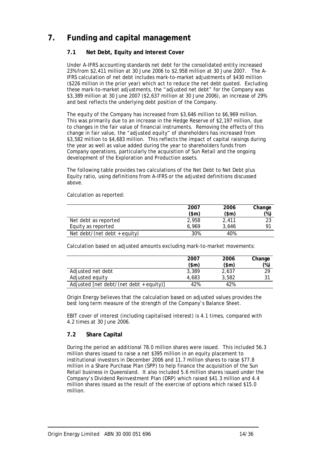## **7. Funding and capital management**

## **7.1 Net Debt, Equity and Interest Cover**

Under A-IFRS accounting standards net debt for the consolidated entity increased 23% from \$2,411 million at 30 June 2006 to \$2,958 million at 30 June 2007. The A-IFRS calculation of net debt includes mark-to-market adjustments of \$430 million (\$226 million in the prior year) which act to reduce the net debt quoted. Excluding these mark-to-market adjustments, the "adjusted net debt" for the Company was \$3,389 million at 30 June 2007 (\$2,637 million at 30 June 2006), an increase of 29% and best reflects the underlying debt position of the Company.

The equity of the Company has increased from \$3,646 million to \$6,969 million. This was primarily due to an increase in the Hedge Reserve of \$2,197 million, due to changes in the fair value of financial instruments. Removing the effects of this change in fair value, the "adjusted equity" of shareholders has increased from \$3,582 million to \$4,683 million. This reflects the impact of capital raisings during the year as well as value added during the year to shareholders funds from Company operations, particularly the acquisition of Sun Retail and the ongoing development of the Exploration and Production assets.

The following table provides two calculations of the Net Debt to Net Debt plus Equity ratio, using definitions from A-IFRS or the adjusted definitions discussed above.

Calculation as reported: **2007** 

|                              | 2007          | 2006  | Change        |
|------------------------------|---------------|-------|---------------|
|                              | $(\text{5m})$ | (\$m) | $\frac{1}{2}$ |
| Net debt as reported         | 2.958         | 2.411 | วว            |
| Equity as reported           | 6.969         | 3.646 | О1            |
| Net debt/(net debt + equity) | 30%           | 40%   |               |

Calculation based on adjusted amounts excluding mark-to-market movements:

|                                         | 2007<br>\$m\$ | 2006<br>$(\text{5m})$ | Change<br>$(\%)$ |
|-----------------------------------------|---------------|-----------------------|------------------|
| Adjusted net debt                       | 3.389         | 2,637                 | 29               |
| Adjusted equity                         | 4.683         | 3.582                 | 31               |
| Adjusted [net debt/(net debt + equity)] | 42%           | 42%                   |                  |

Origin Energy believes that the calculation based on adjusted values provides the best long term measure of the strength of the Company's Balance Sheet.

EBIT cover of interest (including capitalised interest) is 4.1 times, compared with 4.2 times at 30 June 2006.

## **7.2 Share Capital**

During the period an additional 78.0 million shares were issued. This included 56.3 million shares issued to raise a net \$395 million in an equity placement to institutional investors in December 2006 and 11.7 million shares to raise \$77.8 million in a Share Purchase Plan (SPP) to help finance the acquisition of the Sun Retail business in Queensland. It also included 5.6 million shares issued under the Company's Dividend Reinvestment Plan (DRP) which raised \$41.3 million and 4.4 million shares issued as the result of the exercise of options which raised \$15.0 million.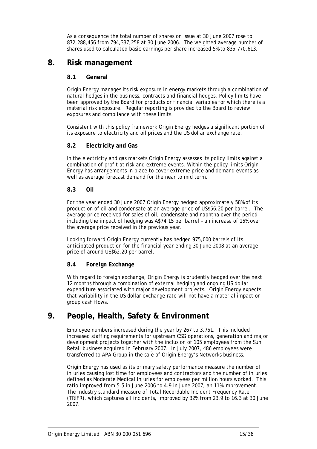As a consequence the total number of shares on issue at 30 June 2007 rose to 872,288,456 from 794,337,258 at 30 June 2006. The weighted average number of shares used to calculated basic earnings per share increased 5% to 835,770,613.

## **8. Risk management**

## **8.1 General**

Origin Energy manages its risk exposure in energy markets through a combination of natural hedges in the business, contracts and financial hedges. Policy limits have been approved by the Board for products or financial variables for which there is a material risk exposure. Regular reporting is provided to the Board to review exposures and compliance with these limits.

Consistent with this policy framework Origin Energy hedges a significant portion of its exposure to electricity and oil prices and the US dollar exchange rate.

## **8.2 Electricity and Gas**

In the electricity and gas markets Origin Energy assesses its policy limits against a combination of profit at risk and extreme events. Within the policy limits Origin Energy has arrangements in place to cover extreme price and demand events as well as average forecast demand for the near to mid term.

## **8.3 Oil**

For the year ended 30 June 2007 Origin Energy hedged approximately 58% of its production of oil and condensate at an average price of US\$56.20 per barrel. The average price received for sales of oil, condensate and naphtha over the period including the impact of hedging was A\$74.15 per barrel – an increase of 15% over the average price received in the previous year.

Looking forward Origin Energy currently has hedged 975,000 barrels of its anticipated production for the financial year ending 30 June 2008 at an average price of around US\$62.20 per barrel.

## **8.4 Foreign Exchange**

With regard to foreign exchange, Origin Energy is prudently hedged over the next 12 months through a combination of external hedging and ongoing US dollar expenditure associated with major development projects. Origin Energy expects that variability in the US dollar exchange rate will not have a material impact on group cash flows.

## **9. People, Health, Safety & Environment**

Employee numbers increased during the year by 267 to 3,751. This included increased staffing requirements for upstream CSG operations, generation and major development projects together with the inclusion of 105 employees from the Sun Retail business acquired in February 2007. In July 2007, 486 employees were transferred to APA Group in the sale of Origin Energy's Networks business.

Origin Energy has used as its primary safety performance measure the number of injuries causing lost time for employees and contractors and the number of injuries defined as Moderate Medical Injuries for employees per million hours worked. This ratio improved from 5.5 in June 2006 to 4.9 in June 2007, an 11% improvement. The industry standard measure of Total Recordable Incident Frequency Rate (TRIFR), which captures all incidents, improved by 32% from 23.9 to 16.3 at 30 June 2007.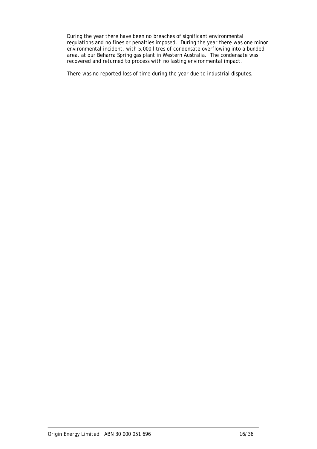During the year there have been no breaches of significant environmental regulations and no fines or penalties imposed. During the year there was one minor environmental incident, with 5,000 litres of condensate overflowing into a bunded area, at our Beharra Spring gas plant in Western Australia. The condensate was recovered and returned to process with no lasting environmental impact.

There was no reported loss of time during the year due to industrial disputes.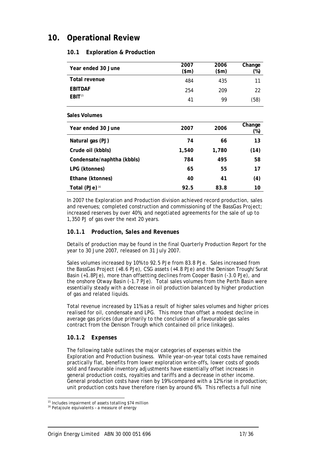## **10. Operational Review**

## **10.1 Exploration & Production**

| Year ended 30 June | 2007<br>\$m\$ | 2006<br>(\$m) | Change<br>(%) |
|--------------------|---------------|---------------|---------------|
| Total revenue      | 484           | 435           | 11            |
| <b>EBITDAF</b>     | 254           | 209           | 22            |
| EBIT <sup>15</sup> | 41            | 99            | (58)          |

#### **Sales Volumes**

| Year ended 30 June         | 2007  | 2006  | Change<br>(%) |
|----------------------------|-------|-------|---------------|
| Natural gas (PJ)           | 74    | 66    | 13            |
| Crude oil (kbbls)          | 1,540 | 1,780 | (14)          |
| Condensate/naphtha (kbbls) | 784   | 495   | 58            |
| LPG (ktonnes)              | 65    | 55    | 17            |
| Ethane (ktonnes)           | 40    | 41    | (4)           |
| Total (PJe) <sup>16</sup>  | 92.5  | 83.8  | 10            |

In 2007 the Exploration and Production division achieved record production, sales and revenues; completed construction and commissioning of the BassGas Project; increased reserves by over 40%; and negotiated agreements for the sale of up to 1,350 PJ of gas over the next 20 years.

## *10.1.1 Production, Sales and Revenues*

Details of production may be found in the final Quarterly Production Report for the year to 30 June 2007, released on 31 July 2007.

Sales volumes increased by 10% to 92.5 PJe from 83.8 PJe. Sales increased from the BassGas Project (+8.6 PJe), CSG assets (+4.8 PJe) and the Denison Trough/Surat Basin (+1.8PJe), more than offsetting declines from Cooper Basin (-3.0 PJe), and the onshore Otway Basin (-1.7 PJe). Total sales volumes from the Perth Basin were essentially steady with a decrease in oil production balanced by higher production of gas and related liquids.

Total revenue increased by 11% as a result of higher sales volumes and higher prices realised for oil, condensate and LPG. This more than offset a modest decline in average gas prices (due primarily to the conclusion of a favourable gas sales contract from the Denison Trough which contained oil price linkages).

## *10.1.2 Expenses*

The following table outlines the major categories of expenses within the Exploration and Production business. While year-on-year total costs have remained practically flat, benefits from lower exploration write-offs, lower costs of goods sold and favourable inventory adjustments have essentially offset increases in general production costs, royalties and tariffs and a decrease in other income. General production costs have risen by 19% compared with a 12% rise in production; unit production costs have therefore risen by around 6%. This reflects a full nine

l

<sup>15</sup> Includes impairment of assets totalling \$74 million

<sup>&</sup>lt;sup>16</sup> Petajoule equivalents - a measure of energy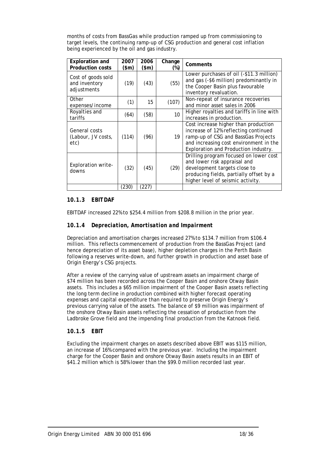months of costs from BassGas while production ramped up from commissioning to target levels, the continuing ramp-up of CSG production and general cost inflation being experienced by the oil and gas industry.

| <b>Exploration and</b><br><b>Production costs</b>  | 2007<br>\$m\$ | 2006<br>\$m\$ | Change<br>(%)   | Comments                                                                                                                                                                                              |
|----------------------------------------------------|---------------|---------------|-----------------|-------------------------------------------------------------------------------------------------------------------------------------------------------------------------------------------------------|
| Cost of goods sold<br>and inventory<br>adjustments | (19)          | (43)          | (55)            | Lower purchases of oil (-\$11.3 million)<br>and gas (-\$6 million) predominantly in<br>the Cooper Basin plus favourable<br>inventory revaluation.                                                     |
| Other<br>expenses/income                           | (1)           | 15            | (107)           | Non-repeat of insurance recoveries<br>and minor asset sales in 2006                                                                                                                                   |
| Royalties and<br>tariffs                           | (64)          | (58)          | 10 <sup>1</sup> | Higher royalties and tariffs in line with<br>increases in production.                                                                                                                                 |
| General costs<br>(Labour, JV costs,<br>etc)        | (114)         | (96)          | 19              | Cost increase higher than production<br>increase of 12% reflecting continued<br>ramp-up of CSG and BassGas Projects<br>and increasing cost environment in the<br>Exploration and Production industry. |
| <b>Exploration write-</b><br>downs                 | (32)          | (45)          | (29)            | Drilling program focused on lower cost<br>and lower risk appraisal and<br>development targets close to<br>producing fields, partially offset by a<br>higher level of seismic activity.                |
|                                                    | (230)         | (227)         |                 |                                                                                                                                                                                                       |

## *10.1.3 EBITDAF*

EBITDAF increased 22% to \$254.4 million from \$208.8 million in the prior year.

## *10.1.4 Depreciation, Amortisation and Impairment*

Depreciation and amortisation charges increased 27% to \$134.7 million from \$106.4 million. This reflects commencement of production from the BassGas Project (and hence depreciation of its asset base), higher depletion charges in the Perth Basin following a reserves write-down, and further growth in production and asset base of Origin Energy's CSG projects.

After a review of the carrying value of upstream assets an impairment charge of \$74 million has been recorded across the Cooper Basin and onshore Otway Basin assets. This includes a \$65 million impairment of the Cooper Basin assets reflecting the long term decline in production combined with higher forecast operating expenses and capital expenditure than required to preserve Origin Energy's previous carrying value of the assets. The balance of \$9 million was impairment of the onshore Otway Basin assets reflecting the cessation of production from the Ladbroke Grove field and the impending final production from the Katnook field.

## *10.1.5 EBIT*

Excluding the impairment charges on assets described above EBIT was \$115 million, an increase of 16% compared with the previous year. Including the impairment charge for the Cooper Basin and onshore Otway Basin assets results in an EBIT of \$41.2 million which is 58% lower than the \$99.0 million recorded last year.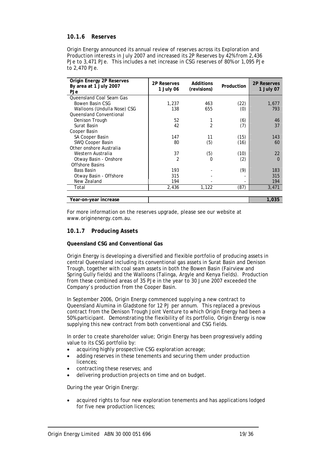### *10.1.6 Reserves*

Origin Energy announced its annual review of reserves across its Exploration and Production interests in July 2007 and increased its 2P Reserves by 42% from 2,436 PJe to 3,471 PJe. This includes a net increase in CSG reserves of 80% or 1,095 PJe to 2,470 PJe.

| Origin Energy 2P Reserves<br>By area at 1 July 2007 | 2P Reserves    | Additions      | Production | <b>2P Reserves</b> |
|-----------------------------------------------------|----------------|----------------|------------|--------------------|
| PJe                                                 | 1 July 06      | (revisions)    |            | 1 July 07          |
| Queensland Coal Seam Gas                            |                |                |            |                    |
| Bowen Basin CSG                                     | 1,237          | 463            | (22)       | 1,677              |
| Walloons (Undulla Nose) CSG                         | 138            | 655            | (0)        | 793                |
| <b>Oueensland Conventional</b>                      |                |                |            |                    |
| Denison Trough                                      | 52             | 1              | (6)        | 46                 |
| Surat Basin                                         | 42             | $\overline{2}$ | (7)        | 37                 |
| Cooper Basin                                        |                |                |            |                    |
| SA Cooper Basin                                     | 147            | 11             | (15)       | 143                |
| SWQ Cooper Basin                                    | 80             | (5)            | (16)       | 60                 |
| Other onshore Australia                             |                |                |            |                    |
| Western Australia                                   | 37             | (5)            | (10)       | 22                 |
| Otway Basin - Onshore                               | $\mathfrak{p}$ | 0              | (2)        | $\Omega$           |
| Offshore Basins                                     |                |                |            |                    |
| Bass Basin                                          | 193            |                | (9)        | 183                |
| Otway Basin - Offshore                              | 315            |                |            | 315                |
| New Zealand                                         | 194            |                |            | 194                |
| Total                                               | 2,436          | 1,122          | (87)       | 3,471              |
|                                                     |                |                |            |                    |
| Year-on-year increase                               |                |                |            | 1,035              |

For more information on the reserves upgrade, please see our website at www.originenergy.com.au.

#### *10.1.7 Producing Assets*

#### **Queensland CSG and Conventional Gas**

Origin Energy is developing a diversified and flexible portfolio of producing assets in central Queensland including its conventional gas assets in Surat Basin and Denison Trough, together with coal seam assets in both the Bowen Basin (Fairview and Spring Gully fields) and the Walloons (Talinga, Argyle and Kenya fields). Production from these combined areas of 35 PJe in the year to 30 June 2007 exceeded the Company's production from the Cooper Basin.

In September 2006, Origin Energy commenced supplying a new contract to Queensland Alumina in Gladstone for 12 PJ per annum. This replaced a previous contract from the Denison Trough Joint Venture to which Origin Energy had been a 50% participant. Demonstrating the flexibility of its portfolio, Origin Energy is now supplying this new contract from both conventional and CSG fields.

In order to create shareholder value; Origin Energy has been progressively adding value to its CSG portfolio by:

- acquiring highly prospective CSG exploration acreage;
- adding reserves in these tenements and securing them under production licences;
- contracting these reserves; and
- delivering production projects on time and on budget.

During the year Origin Energy:

• acquired rights to four new exploration tenements and has applications lodged for five new production licences;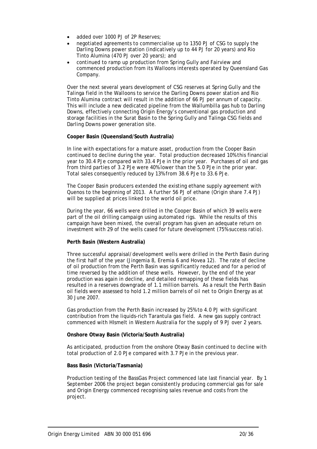- added over 1000 PJ of 2P Reserves;
- negotiated agreements to commercialise up to 1350 PJ of CSG to supply the Darling Downs power station (indicatively up to 44 PJ for 20 years) and Rio Tinto Alumina (470 PJ over 20 years); and
- continued to ramp up production from Spring Gully and Fairview and commenced production from its Walloons interests operated by Queensland Gas Company.

Over the next several years development of CSG reserves at Spring Gully and the Talinga field in the Walloons to service the Darling Downs power station and Rio Tinto Alumina contract will result in the addition of 66 PJ per annum of capacity. This will include a new dedicated pipeline from the Wallumbilla gas hub to Darling Downs, effectively connecting Origin Energy's conventional gas production and storage facilities in the Surat Basin to the Spring Gully and Talinga CSG fields and Darling Downs power generation site.

#### **Cooper Basin (Queensland/South Australia)**

In line with expectations for a mature asset, production from the Cooper Basin continued to decline during the year. Total production decreased 10% this financial year to 30.4 PJe compared with 33.4 PJe in the prior year. Purchases of oil and gas from third parties of 3.2 PJe were 40% lower than the 5.0 PJe in the prior year. Total sales consequently reduced by 13% from 38.6 PJe to 33.6 PJe.

The Cooper Basin producers extended the existing ethane supply agreement with Quenos to the beginning of 2013. A further 56 PJ of ethane (Origin share 7.4 PJ) will be supplied at prices linked to the world oil price.

During the year, 66 wells were drilled in the Cooper Basin of which 39 wells were part of the oil drilling campaign using automated rigs. While the results of this campaign have been mixed, the overall program has given an adequate return on investment with 29 of the wells cased for future development (75% success ratio).

#### **Perth Basin (Western Australia)**

Three successful appraisal/development wells were drilled in the Perth Basin during the first half of the year (Jingemia 8, Eremia 6 and Hovea 12). The rate of decline of oil production from the Perth Basin was significantly reduced and for a period of time reversed by the addition of these wells. However, by the end of the year production was again in decline, and detailed remapping of these fields has resulted in a reserves downgrade of 1.1 million barrels. As a result the Perth Basin oil fields were assessed to hold 1.2 million barrels of oil net to Origin Energy as at 30 June 2007.

Gas production from the Perth Basin increased by 25% to 4.0 PJ with significant contribution from the liquids-rich Tarantula gas field. A new gas supply contract commenced with HIsmelt in Western Australia for the supply of 9 PJ over 2 years.

#### **Onshore Otway Basin (Victoria/South Australia)**

As anticipated, production from the onshore Otway Basin continued to decline with total production of 2.0 PJe compared with 3.7 PJe in the previous year.

#### **Bass Basin (Victoria/Tasmania)**

Production testing of the BassGas Project commenced late last financial year. By 1 September 2006 the project began consistently producing commercial gas for sale and Origin Energy commenced recognising sales revenue and costs from the project.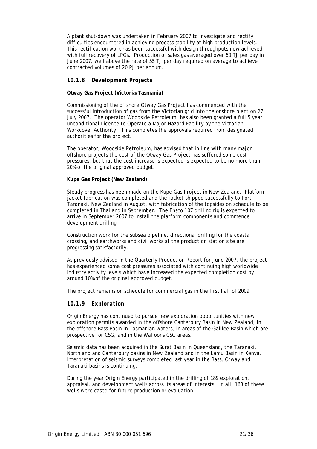A plant shut-down was undertaken in February 2007 to investigate and rectify difficulties encountered in achieving process stability at high production levels. This rectification work has been successful with design throughputs now achieved with full recovery of LPGs. Production of sales gas averaged over 60 TJ per day in June 2007, well above the rate of 55 TJ per day required on average to achieve contracted volumes of 20 PJ per annum.

#### *10.1.8 Development Projects*

#### **Otway Gas Project (Victoria/Tasmania)**

Commissioning of the offshore Otway Gas Project has commenced with the successful introduction of gas from the Victorian grid into the onshore plant on 27 July 2007. The operator Woodside Petroleum, has also been granted a full 5 year unconditional Licence to Operate a Major Hazard Facility by the Victorian Workcover Authority. This completes the approvals required from designated authorities for the project.

The operator, Woodside Petroleum, has advised that in line with many major offshore projects the cost of the Otway Gas Project has suffered some cost pressures, but that the cost increase is expected is expected to be no more than 20% of the original approved budget.

#### **Kupe Gas Project (New Zealand)**

Steady progress has been made on the Kupe Gas Project in New Zealand. Platform jacket fabrication was completed and the jacket shipped successfully to Port Taranaki, New Zealand in August, with fabrication of the topsides on schedule to be completed in Thailand in September. The Ensco 107 drilling rig is expected to arrive in September 2007 to install the platform components and commence development drilling.

Construction work for the subsea pipeline, directional drilling for the coastal crossing, and earthworks and civil works at the production station site are progressing satisfactorily.

As previously advised in the Quarterly Production Report for June 2007, the project has experienced some cost pressures associated with continuing high worldwide industry activity levels which have increased the expected completion cost by around 10% of the original approved budget.

The project remains on schedule for commercial gas in the first half of 2009.

## *10.1.9 Exploration*

Origin Energy has continued to pursue new exploration opportunities with new exploration permits awarded in the offshore Canterbury Basin in New Zealand, in the offshore Bass Basin in Tasmanian waters, in areas of the Galilee Basin which are prospective for CSG, and in the Walloons CSG areas.

Seismic data has been acquired in the Surat Basin in Queensland, the Taranaki, Northland and Canterbury basins in New Zealand and in the Lamu Basin in Kenya. Interpretation of seismic surveys completed last year in the Bass, Otway and Taranaki basins is continuing.

During the year Origin Energy participated in the drilling of 189 exploration, appraisal, and development wells across its areas of interests. In all, 163 of these wells were cased for future production or evaluation.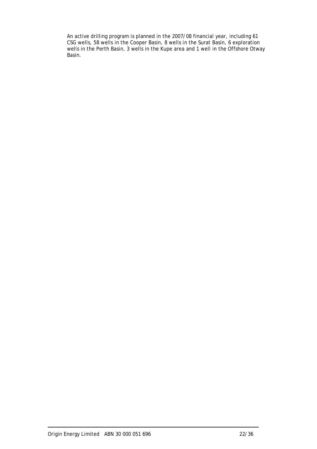An active drilling program is planned in the 2007/08 financial year, including 61 CSG wells, 58 wells in the Cooper Basin, 8 wells in the Surat Basin, 6 exploration wells in the Perth Basin, 3 wells in the Kupe area and 1 well in the Offshore Otway Basin.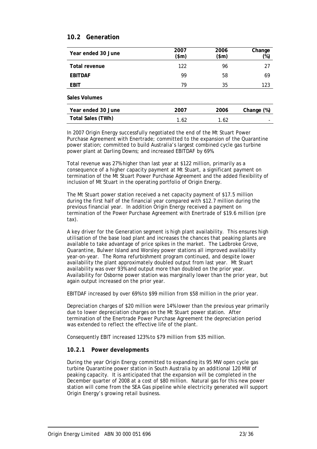## **10.2 Generation**

| Year ended 30 June   | 2007<br>$(\$m)$ | 2006<br>(\$m) | Change<br>(%) |
|----------------------|-----------------|---------------|---------------|
| <b>Total revenue</b> | 122             | 96            | 27            |
| <b>EBITDAF</b>       | 99              | 58            | 69            |
| <b>EBIT</b>          | 79              | 35            | 123           |
| <b>Sales Volumes</b> |                 |               |               |
| Year ended 30 June   | 2007            | 2006          | Change (%)    |

In 2007 Origin Energy successfully negotiated the end of the Mt Stuart Power Purchase Agreement with Enertrade; committed to the expansion of the Quarantine power station; committed to build Australia's largest combined cycle gas turbine power plant at Darling Downs; and increased EBITDAF by 69%.

**Total Sales (TWh)** 1.62 1.62

Total revenue was 27% higher than last year at \$122 million, primarily as a consequence of a higher capacity payment at Mt Stuart, a significant payment on termination of the Mt Stuart Power Purchase Agreement and the added flexibility of inclusion of Mt Stuart in the operating portfolio of Origin Energy.

The Mt Stuart power station received a net capacity payment of \$17.5 million during the first half of the financial year compared with \$12.7 million during the previous financial year. In addition Origin Energy received a payment on termination of the Power Purchase Agreement with Enertrade of \$19.6 million (pre tax).

A key driver for the Generation segment is high plant availability. This ensures high utilisation of the base load plant and increases the chances that peaking plants are available to take advantage of price spikes in the market. The Ladbroke Grove, Quarantine, Bulwer Island and Worsley power stations all improved availability year-on-year. The Roma refurbishment program continued, and despite lower availability the plant approximately doubled output from last year. Mt Stuart availability was over 93% and output more than doubled on the prior year. Availability for Osborne power station was marginally lower than the prior year, but again output increased on the prior year.

EBITDAF increased by over 69% to \$99 million from \$58 million in the prior year.

Depreciation charges of \$20 million were 14% lower than the previous year primarily due to lower depreciation charges on the Mt Stuart power station. After termination of the Enertrade Power Purchase Agreement the depreciation period was extended to reflect the effective life of the plant.

Consequently EBIT increased 123% to \$79 million from \$35 million.

## *10.2.1 Power developments*

During the year Origin Energy committed to expanding its 95 MW open cycle gas turbine Quarantine power station in South Australia by an additional 120 MW of peaking capacity. It is anticipated that the expansion will be completed in the December quarter of 2008 at a cost of \$80 million. Natural gas for this new power station will come from the SEA Gas pipeline while electricity generated will support Origin Energy's growing retail business.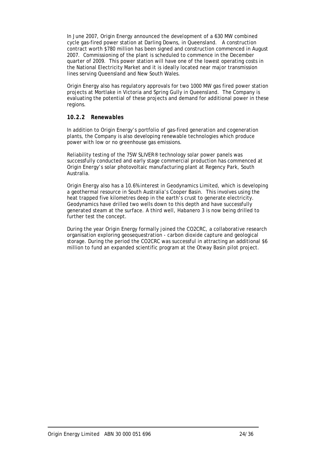In June 2007, Origin Energy announced the development of a 630 MW combined cycle gas-fired power station at Darling Downs, in Queensland. A construction contract worth \$780 million has been signed and construction commenced in August 2007. Commissioning of the plant is scheduled to commence in the December quarter of 2009. This power station will have one of the lowest operating costs in the National Electricity Market and it is ideally located near major transmission lines serving Queensland and New South Wales.

Origin Energy also has regulatory approvals for two 1000 MW gas fired power station projects at Mortlake in Victoria and Spring Gully in Queensland. The Company is evaluating the potential of these projects and demand for additional power in these regions.

#### *10.2.2 Renewables*

In addition to Origin Energy's portfolio of gas-fired generation and cogeneration plants, the Company is also developing renewable technologies which produce power with low or no greenhouse gas emissions.

Reliability testing of the 75W SLIVER® technology solar power panels was successfully conducted and early stage commercial production has commenced at Origin Energy's solar photovoltaic manufacturing plant at Regency Park, South Australia.

Origin Energy also has a 10.6% interest in Geodynamics Limited, which is developing a geothermal resource in South Australia's Cooper Basin. This involves using the heat trapped five kilometres deep in the earth's crust to generate electricity. Geodynamics have drilled two wells down to this depth and have successfully generated steam at the surface. A third well, Habanero 3 is now being drilled to further test the concept.

During the year Origin Energy formally joined the CO2CRC, a collaborative research organisation exploring geosequestration - carbon dioxide capture and geological storage. During the period the CO2CRC was successful in attracting an additional \$6 million to fund an expanded scientific program at the Otway Basin pilot project.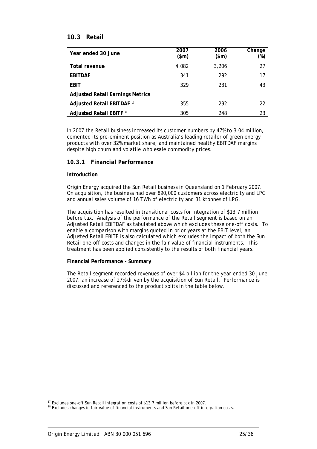## **10.3 Retail**

| Year ended 30 June                      | 2007<br>\$m\$ | 2006<br>\$m\$ | Change<br>(%) |
|-----------------------------------------|---------------|---------------|---------------|
| <b>Total revenue</b>                    | 4,082         | 3,206         | 27            |
| <b>EBITDAF</b>                          | 341           | 292           | 17            |
| <b>EBIT</b>                             | 329           | 231           | 43            |
| <b>Adjusted Retail Earnings Metrics</b> |               |               |               |
| Adjusted Retail EBITDAF <sup>17</sup>   | 355           | 292           | 22            |
| <b>Adjusted Retail EBITF 18</b>         | 305           | 248           | 23            |

In 2007 the Retail business increased its customer numbers by 47% to 3.04 million, cemented its pre-eminent position as Australia's leading retailer of green energy products with over 32% market share, and maintained healthy EBITDAF margins despite high churn and volatile wholesale commodity prices.

#### *10.3.1 Financial Performance*

#### **Introduction**

Origin Energy acquired the Sun Retail business in Queensland on 1 February 2007. On acquisition, the business had over 890,000 customers across electricity and LPG and annual sales volume of 16 TWh of electricity and 31 ktonnes of LPG.

The acquisition has resulted in transitional costs for integration of \$13.7 million before tax. Analysis of the performance of the Retail segment is based on an Adjusted Retail EBITDAF as tabulated above which excludes these one-off costs. To enable a comparison with margins quoted in prior years at the EBIT level, an Adjusted Retail EBITF is also calculated which excludes the impact of both the Sun Retail one-off costs and changes in the fair value of financial instruments. This treatment has been applied consistently to the results of both financial years.

#### **Financial Performance - Summary**

The Retail segment recorded revenues of over \$4 billion for the year ended 30 June 2007, an increase of 27% driven by the acquisition of Sun Retail. Performance is discussed and referenced to the product splits in the table below.

l

<sup>&</sup>lt;sup>17</sup> Excludes one-off Sun Retail integration costs of \$13.7 million before tax in 2007.<br><sup>18</sup> Excludes changes in fair value of financial instruments and Sun Retail one-off integration costs.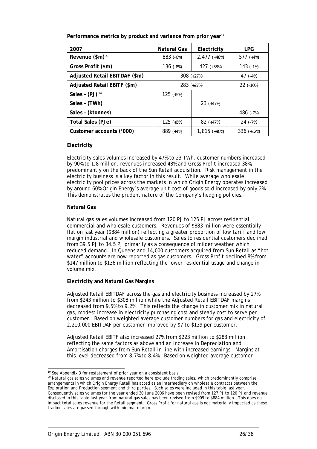| 2007                          | <b>Natural Gas</b> | Electricity    | LPG.         |
|-------------------------------|--------------------|----------------|--------------|
| Revenue (\$m) <sup>20</sup>   | 883 (-0%)          | $2,477$ (+48%) | 577 $(+4%)$  |
| Gross Profit (\$m)            | 136 $(-8%)$        | 427 (+38%)     | 143 $(-1%)$  |
| Adjusted Retail EBITDAF (\$m) |                    | $308 (+27%)$   | 47 $(-4%)$   |
| Adjusted Retail EBITF (\$m)   |                    | 283 (+27%)     | $22$ (-10%)  |
| Sales - $(PJ)$ 20             | $125$ (+5%)        |                |              |
| Sales - (TWh)                 |                    | $23$ (+47%)    |              |
| Sales - (ktonnes)             |                    |                | 486 (-7%)    |
| Total Sales (PJe)             | $125$ (+5%)        | $82$ (+47%)    | $24$ (-7%)   |
| Customer accounts ('000)      | 889 (+1%)          | $1,815$ (+90%) | $336$ (+12%) |

**Performance metrics by product and variance from prior year**<sup>19</sup>

#### **Electricity**

Electricity sales volumes increased by 47% to 23 TWh, customer numbers increased by 90% to 1.8 million, revenues increased 48% and Gross Profit increased 38%, predominantly on the back of the Sun Retail acquisition. Risk management in the electricity business is a key factor in this result. While average wholesale electricity pool prices across the markets in which Origin Energy operates increased by around 60% Origin Energy's average unit cost of goods sold increased by only 2%. This demonstrates the prudent nature of the Company's hedging policies.

#### **Natural Gas**

Natural gas sales volumes increased from 120 PJ to 125 PJ across residential, commercial and wholesale customers. Revenues of \$883 million were essentially flat on last year (\$884 million) reflecting a greater proportion of low tariff and low margin industrial and wholesale customers. Sales to residential customers declined from 39.5 PJ to 34.5 PJ primarily as a consequence of milder weather which reduced demand. In Queensland 14,000 customers acquired from Sun Retail as "hot water" accounts are now reported as gas customers. Gross Profit declined 8% from \$147 million to \$136 million reflecting the lower residential usage and change in volume mix.

#### **Electricity and Natural Gas Margins**

Adjusted Retail EBITDAF across the gas and electricity business increased by 27% from \$243 million to \$308 million while the Adjusted Retail EBITDAF margins decreased from 9.5% to 9.2%. This reflects the change in customer mix in natural gas, modest increase in electricity purchasing cost and steady cost to serve per customer. Based on weighted average customer numbers for gas and electricity of 2,210,000 EBITDAF per customer improved by \$7 to \$139 per customer.

Adjusted Retail EBITF also increased 27% from \$223 million to \$283 million reflecting the same factors as above and an increase in Depreciation and Amortisation charges from Sun Retail in line with increased earnings. Margins at this level decreased from 8.7% to 8.4%. Based on weighted average customer

l  $19$  See Appendix 3 for restatement of prior year on a consistent basis.

<sup>20</sup> Natural gas sales volumes and revenue reported here exclude trading sales, which predominantly comprise arrangements in which Origin Energy Retail has acted as an intermediary on wholesale contracts between the Exploration and Production segment and third parties. Such sales were included in this table last year. Consequently sales volumes for the year ended 30 June 2006 have been revised from 127 PJ to 120 PJ and revenue disclosed in this table last year from natural gas sales has been revised from \$909 to \$884 million. This does not impact total sales revenue for the Retail segment. Gross Profit for natural gas is not materially impacted as these trading sales are passed through with minimal margin.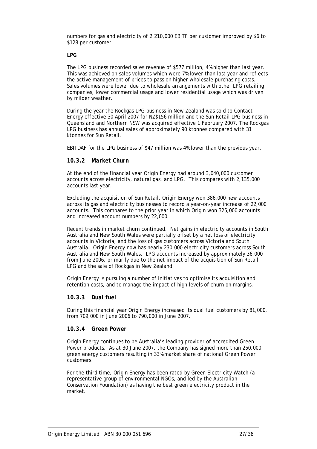numbers for gas and electricity of 2,210,000 EBITF per customer improved by \$6 to \$128 per customer.

#### **LPG**

The LPG business recorded sales revenue of \$577 million, 4% higher than last year. This was achieved on sales volumes which were 7% lower than last year and reflects the active management of prices to pass on higher wholesale purchasing costs. Sales volumes were lower due to wholesale arrangements with other LPG retailing companies, lower commercial usage and lower residential usage which was driven by milder weather.

During the year the Rockgas LPG business in New Zealand was sold to Contact Energy effective 30 April 2007 for NZ\$156 million and the Sun Retail LPG business in Queensland and Northern NSW was acquired effective 1 February 2007. The Rockgas LPG business has annual sales of approximately 90 ktonnes compared with 31 ktonnes for Sun Retail.

EBITDAF for the LPG business of \$47 million was 4% lower than the previous year.

### *10.3.2 Market Churn*

At the end of the financial year Origin Energy had around 3,040,000 customer accounts across electricity, natural gas, and LPG. This compares with 2,135,000 accounts last year.

Excluding the acquisition of Sun Retail, Origin Energy won 386,000 new accounts across its gas and electricity businesses to record a year-on-year increase of 22,000 accounts. This compares to the prior year in which Origin won 325,000 accounts and increased account numbers by 22,000.

Recent trends in market churn continued. Net gains in electricity accounts in South Australia and New South Wales were partially offset by a net loss of electricity accounts in Victoria, and the loss of gas customers across Victoria and South Australia. Origin Energy now has nearly 230,000 electricity customers across South Australia and New South Wales. LPG accounts increased by approximately 36,000 from June 2006, primarily due to the net impact of the acquisition of Sun Retail LPG and the sale of Rockgas in New Zealand.

Origin Energy is pursuing a number of initiatives to optimise its acquisition and retention costs, and to manage the impact of high levels of churn on margins.

#### *10.3.3 Dual fuel*

During this financial year Origin Energy increased its dual fuel customers by 81,000, from 709,000 in June 2006 to 790,000 in June 2007.

#### *10.3.4 Green Power*

Origin Energy continues to be Australia's leading provider of accredited Green Power products. As at 30 June 2007, the Company has signed more than 250,000 green energy customers resulting in 33% market share of national Green Power customers.

For the third time, Origin Energy has been rated by Green Electricity Watch (a representative group of environmental NGOs, and led by the Australian Conservation Foundation) as having the best green electricity product in the market.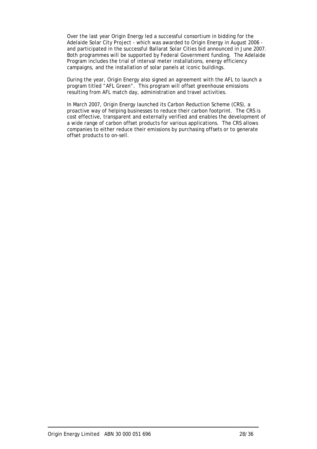Over the last year Origin Energy led a successful consortium in bidding for the Adelaide Solar City Project - which was awarded to Origin Energy in August 2006 and participated in the successful Ballarat Solar Cities bid announced in June 2007. Both programmes will be supported by Federal Government funding. The Adelaide Program includes the trial of interval meter installations, energy efficiency campaigns, and the installation of solar panels at iconic buildings.

During the year, Origin Energy also signed an agreement with the AFL to launch a program titled "AFL Green". This program will offset greenhouse emissions resulting from AFL match day, administration and travel activities.

In March 2007, Origin Energy launched its Carbon Reduction Scheme (CRS), a proactive way of helping businesses to reduce their carbon footprint. The CRS is cost effective, transparent and externally verified and enables the development of a wide range of carbon offset products for various applications. The CRS allows companies to either reduce their emissions by purchasing offsets or to generate offset products to on-sell.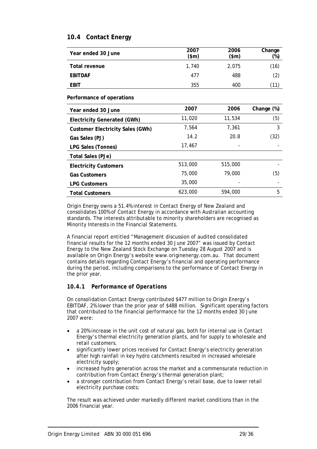## **10.4 Contact Energy**

| Year ended 30 June | 2007<br>$(\$m)$ | 2006<br>$(\text{5m})$ | Change<br>(%)     |
|--------------------|-----------------|-----------------------|-------------------|
| Total revenue      | 1,740           | 2,075                 | (16)              |
| <b>EBITDAF</b>     | 477             | 488                   | $\left( 2\right)$ |
| <b>EBIT</b>        | 355             | 400                   | .11`              |

**Performance of operations** 

| Year ended 30 June                      | 2007    | 2006    | Change (%) |
|-----------------------------------------|---------|---------|------------|
| Electricity Generated (GWh)             | 11,020  | 11,534  | (5)        |
| <b>Customer Electricity Sales (GWh)</b> | 7,564   | 7.361   | 3          |
| Gas Sales (PJ)                          | 14.2    | 20.8    | (32)       |
| LPG Sales (Tonnes)                      | 17,467  |         |            |
| Total Sales (PJe)                       |         |         |            |
| <b>Electricity Customers</b>            | 513,000 | 515,000 |            |
| <b>Gas Customers</b>                    | 75,000  | 79,000  | (5)        |
| <b>LPG Customers</b>                    | 35,000  |         |            |
| <b>Total Customers</b>                  | 623,000 | 594,000 | 5          |

Origin Energy owns a 51.4% interest in Contact Energy of New Zealand and consolidates 100% of Contact Energy in accordance with Australian accounting standards. The interests attributable to minority shareholders are recognised as Minority Interests in the Financial Statements.

A financial report entitled "Management discussion of audited consolidated financial results for the 12 months ended 30 June 2007" was issued by Contact Energy to the New Zealand Stock Exchange on Tuesday 28 August 2007 and is available on Origin Energy's website www.originenergy.com.au. That document contains details regarding Contact Energy's financial and operating performance during the period, including comparisons to the performance of Contact Energy in the prior year.

## *10.4.1 Performance of Operations*

On consolidation Contact Energy contributed \$477 million to Origin Energy's EBITDAF, 2% lower than the prior year of \$488 million. Significant operating factors that contributed to the financial performance for the 12 months ended 30 June 2007 were:

- a 20% increase in the unit cost of natural gas, both for internal use in Contact Energy's thermal electricity generation plants, and for supply to wholesale and retail customers.
- significantly lower prices received for Contact Energy's electricity generation after high rainfall in key hydro catchments resulted in increased wholesale electricity supply;
- increased hydro generation across the market and a commensurate reduction in contribution from Contact Energy's thermal generation plant;
- a stronger contribution from Contact Energy's retail base, due to lower retail electricity purchase costs;

The result was achieved under markedly different market conditions than in the 2006 financial year.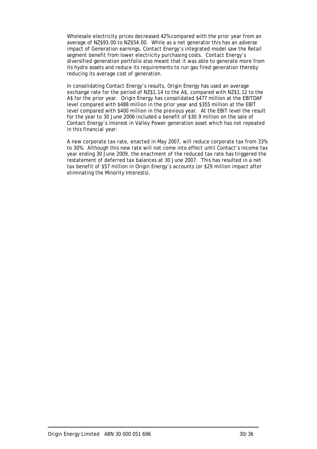Wholesale electricity prices decreased 42% compared with the prior year from an average of NZ\$93.00 to NZ\$54.00. While as a net generator this has an adverse impact of Generation earnings, Contact Energy's integrated model saw the Retail segment benefit from lower electricity purchasing costs. Contact Energy's diversified generation portfolio also meant that it was able to generate more from its hydro assets and reduce its requirements to run gas fired generation thereby reducing its average cost of generation.

In consolidating Contact Energy's results, Origin Energy has used an average exchange rate for the period of NZ\$1.14 to the A\$, compared with NZ\$1.12 to the A\$ for the prior year. Origin Energy has consolidated \$477 million at the EBITDAF level compared with \$488 million in the prior year and \$355 million at the EBIT level compared with \$400 million in the previous year. At the EBIT level the result for the year to 30 June 2006 included a benefit of \$30.9 million on the sale of Contact Energy's interest in Valley Power generation asset which has not repeated in this financial year.

A new corporate tax rate, enacted in May 2007, will reduce corporate tax from 33% to 30%. Although this new rate will not come into effect until Contact's income tax year ending 30 June 2009, the enactment of the reduced tax rate has triggered the restatement of deferred tax balances at 30 June 2007. This has resulted in a net tax benefit of \$57 million in Origin Energy's accounts (or \$29 million impact after eliminating the Minority Interests).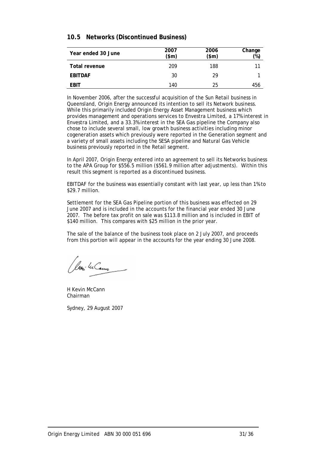## **10.5 Networks (Discontinued Business)**

| Year ended 30 June | 2007<br>$(\text{5m})$ | 2006<br>\$m\$ | Change<br>(%) |
|--------------------|-----------------------|---------------|---------------|
| Total revenue      | 209                   | 188           | 11            |
| <b>EBITDAF</b>     | 30                    | 29            |               |
| <b>EBIT</b>        | 140                   | 25            | 456           |

In November 2006, after the successful acquisition of the Sun Retail business in Queensland, Origin Energy announced its intention to sell its Network business. While this primarily included Origin Energy Asset Management business which provides management and operations services to Envestra Limited, a 17% interest in Envestra Limited, and a 33.3% interest in the SEA Gas pipeline the Company also chose to include several small, low growth business activities including minor cogeneration assets which previously were reported in the Generation segment and a variety of small assets including the SESA pipeline and Natural Gas Vehicle business previously reported in the Retail segment.

In April 2007, Origin Energy entered into an agreement to sell its Networks business to the APA Group for \$556.5 million (\$561.9 million after adjustments). Within this result this segment is reported as a discontinued business.

EBITDAF for the business was essentially constant with last year, up less than 1% to \$29.7 million.

Settlement for the SEA Gas Pipeline portion of this business was effected on 29 June 2007 and is included in the accounts for the financial year ended 30 June 2007. The before tax profit on sale was \$113.8 million and is included in EBIT of \$140 million. This compares with \$25 million in the prior year.

The sale of the balance of the business took place on 2 July 2007, and proceeds from this portion will appear in the accounts for the year ending 30 June 2008.

Jeoni Wilcom

H Kevin McCann Chairman

Sydney, 29 August 2007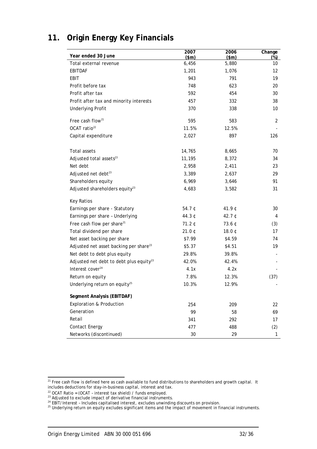| Year ended 30 June                                  | 2007<br>\$m\$ | 2006<br>\$m\$ | Change<br>$(\%)$ |
|-----------------------------------------------------|---------------|---------------|------------------|
| Total external revenue                              | 6,456         | 5,880         | 10               |
| <b>EBITDAF</b>                                      | 1,201         | 1,076         | 12               |
| EBIT                                                | 943           | 791           | 19               |
| Profit before tax                                   | 748           | 623           | 20               |
| Profit after tax                                    | 592           | 454           | 30               |
| Profit after tax and minority interests             | 457           | 332           | 38               |
| <b>Underlying Profit</b>                            | 370           | 338           | 10               |
| Free cash flow <sup>21</sup>                        | 595           | 583           | 2                |
| OCAT ratio <sup>22</sup>                            | 11.5%         | 12.5%         |                  |
| Capital expenditure                                 | 2,027         | 897           | 126              |
| Total assets                                        | 14,765        | 8,665         | 70               |
| Adjusted total assets <sup>23</sup>                 | 11,195        | 8,372         | 34               |
| Net debt                                            | 2,958         | 2,411         | 23               |
| Adjusted net debt <sup>23</sup>                     | 3,389         | 2,637         | 29               |
| Shareholders equity                                 | 6,969         | 3,646         | 91               |
| Adjusted shareholders equity <sup>23</sup>          | 4,683         | 3,582         | 31               |
| <b>Key Ratios</b>                                   |               |               |                  |
| Earnings per share - Statutory                      | 54.7 ¢        | 41.9¢         | 30               |
| Earnings per share - Underlying                     | 44.3 ¢        | 42.7 ¢        | 4                |
| Free cash flow per share <sup>21</sup>              | 71.2C         | 73.6 ¢        | (3)              |
| Total dividend per share                            | 21.0¢         | 18.0¢         | 17               |
| Net asset backing per share                         | \$7.99        | \$4.59        | 74               |
| Adjusted net asset backing per share <sup>23</sup>  | \$5.37        | \$4.51        | 19               |
| Net debt to debt plus equity                        | 29.8%         | 39.8%         |                  |
| Adjusted net debt to debt plus equity <sup>23</sup> | 42.0%         | 42.4%         |                  |
| Interest cover <sup>24</sup>                        | 4.1x          | 4.2x          |                  |
| Return on equity                                    | 7.8%          | 12.3%         | (37)             |
| Underlying return on equity <sup>25</sup>           | 10.3%         | 12.9%         |                  |
| Segment Analysis (EBITDAF)                          |               |               |                  |
| <b>Exploration &amp; Production</b>                 | 254           | 209           | 22               |
| Generation                                          | 99            | 58            | 69               |
| Retail                                              | 341           | 292           | 17               |
| <b>Contact Energy</b>                               | 477           | 488           | (2)              |
| Networks (discontinued)                             | 30            | 29            | 1                |

## **11. Origin Energy Key Financials**

 $\overline{a}$  $21$  Free cash flow is defined here as cash available to fund distributions to shareholders and growth capital. It includes deductions for stay-in-business capital, interest and tax.<br><sup>22</sup> OCAT Ratio = (OCAT - interest tax shield) / funds employed.<br><sup>23</sup> Adjusted to exclude impact of derivative financial instruments.

<sup>&</sup>lt;sup>24</sup> EBIT/Interest - Includes capitalised interest, excludes unwinding discounts on provision.<br><sup>25</sup> Underlying return on equity excludes significant items and the impact of movement in financial instruments.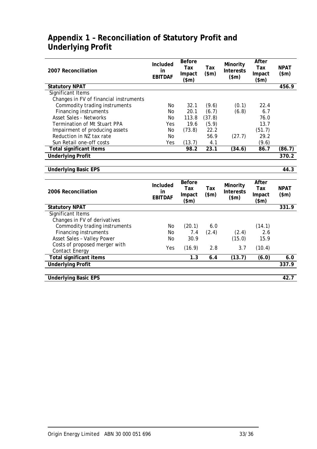| 2007 Reconciliation                                                        | Included<br>in<br><b>EBITDAF</b> | <b>Before</b><br>Tax<br>Impact<br>\$m\$ | Tax<br>\$m\$ | Minority<br><b>Interests</b><br>\$m\$ | After<br>Tax<br>Impact<br>\$m\$ | <b>NPAT</b><br>\$m\$ |
|----------------------------------------------------------------------------|----------------------------------|-----------------------------------------|--------------|---------------------------------------|---------------------------------|----------------------|
| <b>Statutory NPAT</b>                                                      |                                  |                                         |              |                                       |                                 | 456.9                |
| Significant Items                                                          |                                  |                                         |              |                                       |                                 |                      |
| Changes in FV of financial instruments                                     |                                  |                                         |              |                                       |                                 |                      |
| Commodity trading instruments                                              | No                               | 32.1                                    | (9.6)        | (0.1)                                 | 22.4                            |                      |
| <b>Financing instruments</b>                                               | No                               | 20.1                                    | (6.7)        | (6.8)                                 | 6.7                             |                      |
| <b>Asset Sales - Networks</b>                                              | <b>No</b>                        | 113.8                                   | (37.8)       |                                       | 76.0                            |                      |
| Termination of Mt Stuart PPA                                               | Yes                              | 19.6                                    | (5.9)        |                                       | 13.7                            |                      |
| Impairment of producing assets                                             | No                               | (73.8)                                  | 22.2         |                                       | (51.7)                          |                      |
| Reduction in NZ tax rate                                                   | <b>No</b>                        |                                         | 56.9         | (27.7)                                | 29.2                            |                      |
| Sun Retail one-off costs                                                   | Yes                              | (13.7)                                  | 4.1          |                                       | (9.6)                           |                      |
| <b>Total significant items</b>                                             |                                  | 98.2                                    | 23.1         | (34.6)                                | 86.7                            | (86.7)               |
| <b>Underlying Profit</b>                                                   |                                  |                                         |              |                                       |                                 | 370.2                |
|                                                                            |                                  |                                         |              |                                       |                                 |                      |
| <b>Underlying Basic EPS</b>                                                |                                  |                                         |              |                                       |                                 | 44.3                 |
|                                                                            |                                  |                                         |              |                                       |                                 |                      |
|                                                                            |                                  | <b>Before</b>                           |              |                                       | After                           |                      |
| 2006 Reconciliation                                                        | Included<br>in<br><b>EBITDAF</b> | Tax<br>Impact<br>\$m\$                  | Tax<br>\$m\$ | Minority<br><b>Interests</b><br>\$m\$ | Tax<br>Impact<br>\$m\$          | <b>NPAT</b><br>\$m\$ |
|                                                                            |                                  |                                         |              |                                       |                                 | 331.9                |
| <b>Statutory NPAT</b><br>Significant Items<br>Changes in FV of derivatives |                                  |                                         |              |                                       |                                 |                      |
| Commodity trading instruments                                              | No                               | (20.1)                                  | 6.0          |                                       | (14.1)                          |                      |
| <b>Financing instruments</b>                                               | No                               | 7.4                                     | (2.4)        | (2.4)                                 | 2.6                             |                      |
| Asset Sales - Valley Power                                                 | N <sub>O</sub>                   | 30.9                                    |              | (15.0)                                | 15.9                            |                      |
| Costs of proposed merger with<br><b>Contact Energy</b>                     | Yes                              | (16.9)                                  | 2.8          | 3.7                                   | (10.4)                          |                      |
| <b>Total significant items</b>                                             |                                  | 1.3                                     | 6.4          | (13.7)                                | (6.0)                           | 6.0                  |
| <b>Underlying Profit</b>                                                   |                                  |                                         |              |                                       |                                 | 337.9                |
|                                                                            |                                  |                                         |              |                                       |                                 |                      |

## **Appendix 1 – Reconciliation of Statutory Profit and Underlying Profit**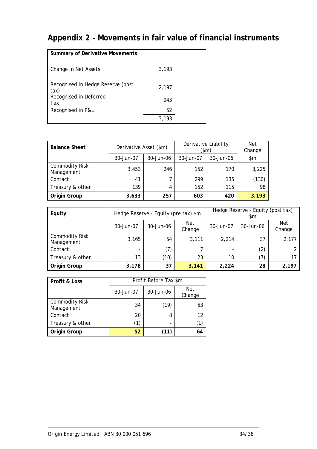# **Appendix 2 – Movements in fair value of financial instruments**

| <b>Summary of Derivative Movements</b>    |       |  |
|-------------------------------------------|-------|--|
| Change in Net Assets                      | 3,193 |  |
| Recognised in Hedge Reserve (post<br>tax) | 2.197 |  |
| Recognised in Deferred<br>Tax             | 943   |  |
| Recognised in P&L                         | 52    |  |
|                                           | 3.193 |  |

| <b>Balance Sheet</b>                | Derivative Asset (\$m) |           | Derivative Liability<br>(\$m) | Net<br>Change |       |
|-------------------------------------|------------------------|-----------|-------------------------------|---------------|-------|
|                                     | 30-Jun-07              | 30-Jun-06 | 30-Jun-07                     | 30-Jun-06     | \$m   |
| <b>Commodity Risk</b><br>Management | 3,453                  | 246       | 152                           | 170           | 3,225 |
| Contact                             | 41                     |           | 299                           | 135           | (130) |
| Treasury & other                    | 139                    | 4         | 152                           | 115           | 98    |
| Origin Group                        | 3,633                  | 257       | 603                           | 420           | 3,193 |

| Equity                              |           | Hedge Reserve - Equity (pre tax) \$m |               | Hedge Reserve - Equity (post tax)<br>\$m |           |                      |
|-------------------------------------|-----------|--------------------------------------|---------------|------------------------------------------|-----------|----------------------|
|                                     | 30-Jun-07 | 30-Jun-06                            | Net<br>Change | 30-Jun-07                                | 30-Jun-06 | <b>Net</b><br>Change |
| <b>Commodity Risk</b><br>Management | 3,165     | 54                                   | 3,111         | 2,214                                    | 37        | 2,177                |
| Contact                             | -         | (7)                                  |               |                                          | (2)       |                      |
| Treasury & other                    | 13        | (10)                                 | 23            | 10                                       | (7)       | 17                   |
| Origin Group                        | 3,178     | 37                                   | 3,141         | 2,224                                    | 28        | 2,197                |

| Profit & Loss                       |           | Profit Before Tax \$m |               |  |  |
|-------------------------------------|-----------|-----------------------|---------------|--|--|
|                                     | 30-Jun-07 | 30-Jun-06             | Net<br>Change |  |  |
| <b>Commodity Risk</b><br>Management | 34        | (19)                  | 53            |  |  |
| Contact                             | 20        | 8                     | 12            |  |  |
| Treasury & other                    | (1)       |                       | (1)           |  |  |
| Origin Group                        | 52        | (11)                  | 64            |  |  |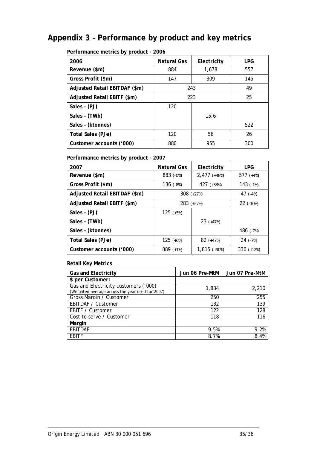# **Appendix 3 – Performance by product and key metrics**

| Performance metrics by product - 2006 |  |
|---------------------------------------|--|
|---------------------------------------|--|

| 2006                          | Natural Gas<br>Electricity |       | <b>LPG</b> |
|-------------------------------|----------------------------|-------|------------|
| Revenue (\$m)                 | 884                        | 1,678 | 557        |
| Gross Profit (\$m)            | 147                        | 309   | 145        |
| Adjusted Retail EBITDAF (\$m) | 243                        | 49    |            |
| Adjusted Retail EBITF (\$m)   | 223                        | 25    |            |
| Sales - (PJ)                  | 120                        |       |            |
| Sales - (TWh)                 |                            | 15.6  |            |
| Sales - (ktonnes)             |                            |       | 522        |
| <b>Total Sales (PJe)</b>      | 120                        | 56    | 26         |
| Customer accounts ('000)      | 880                        | 955   | 300        |

## **Performance metrics by product - 2007**

| 2007                          | Natural Gas<br>Electricity |                | <b>LPG</b>   |  |
|-------------------------------|----------------------------|----------------|--------------|--|
| Revenue (\$m)                 | 883 (-0%)                  | $2,477$ (+48%) | 577 $(+4%)$  |  |
| Gross Profit (\$m)            | 136 $(-8%)$                | 427 (+38%)     | 143 $(-1%)$  |  |
| Adjusted Retail EBITDAF (\$m) | 308 $(+27%)$               |                | 47 $(-4%)$   |  |
| Adjusted Retail EBITF (\$m)   | 283 (+27%)                 |                | $22$ (-10%)  |  |
| Sales - (PJ)                  | 125 $(+5%)$                |                |              |  |
| Sales - (TWh)                 |                            | $23 (+47%)$    |              |  |
| Sales - (ktonnes)             |                            |                | 486 (-7%)    |  |
| Total Sales (PJe)             | 125 $(+5%)$                | $82$ (+47%)    | $24$ (-7%)   |  |
| Customer accounts ('000)      | 889 $(+1%)$                | $1,815$ (+90%) | $336 (+12%)$ |  |

### **Retail Key Metrics**

| <b>Gas and Electricity</b>                                                               | Jun 06 Pre-MtM | Jun 07 Pre-MtM |
|------------------------------------------------------------------------------------------|----------------|----------------|
| \$ per Customer:                                                                         |                |                |
| Gas and Electricity customers ('000)<br>(Weighted average across the year used for 2007) | 1,834          | 2,210          |
| Gross Margin / Customer                                                                  | 250            | 255            |
| EBITDAF / Customer                                                                       | 132            | 139            |
| EBITF / Customer                                                                         | 122            | 128            |
| Cost to serve / Customer                                                                 | 118            | 116            |
| Margin                                                                                   |                |                |
| <b>EBITDAF</b>                                                                           | 9.5%           | 9.2%           |
| EBITF                                                                                    | 8.7%           | 8.4%           |